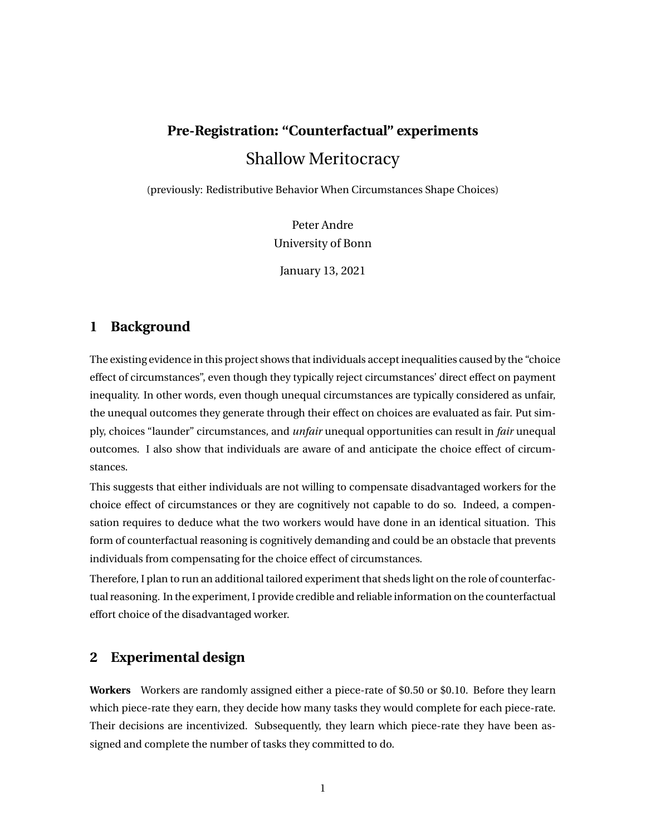# **Pre-Registration: "Counterfactual" experiments** Shallow Meritocracy

(previously: Redistributive Behavior When Circumstances Shape Choices)

Peter Andre University of Bonn

January 13, 2021

## **1 Background**

The existing evidence in this project shows that individuals accept inequalities caused by the "choice effect of circumstances", even though they typically reject circumstances' direct effect on payment inequality. In other words, even though unequal circumstances are typically considered as unfair, the unequal outcomes they generate through their effect on choices are evaluated as fair. Put simply, choices "launder" circumstances, and *unfair* unequal opportunities can result in *fair* unequal outcomes. I also show that individuals are aware of and anticipate the choice effect of circumstances.

This suggests that either individuals are not willing to compensate disadvantaged workers for the choice effect of circumstances or they are cognitively not capable to do so. Indeed, a compensation requires to deduce what the two workers would have done in an identical situation. This form of counterfactual reasoning is cognitively demanding and could be an obstacle that prevents individuals from compensating for the choice effect of circumstances.

Therefore, I plan to run an additional tailored experiment that sheds light on the role of counterfactual reasoning. In the experiment, I provide credible and reliable information on the counterfactual effort choice of the disadvantaged worker.

### **2 Experimental design**

**Workers** Workers are randomly assigned either a piece-rate of \$0.50 or \$0.10. Before they learn which piece-rate they earn, they decide how many tasks they would complete for each piece-rate. Their decisions are incentivized. Subsequently, they learn which piece-rate they have been assigned and complete the number of tasks they committed to do.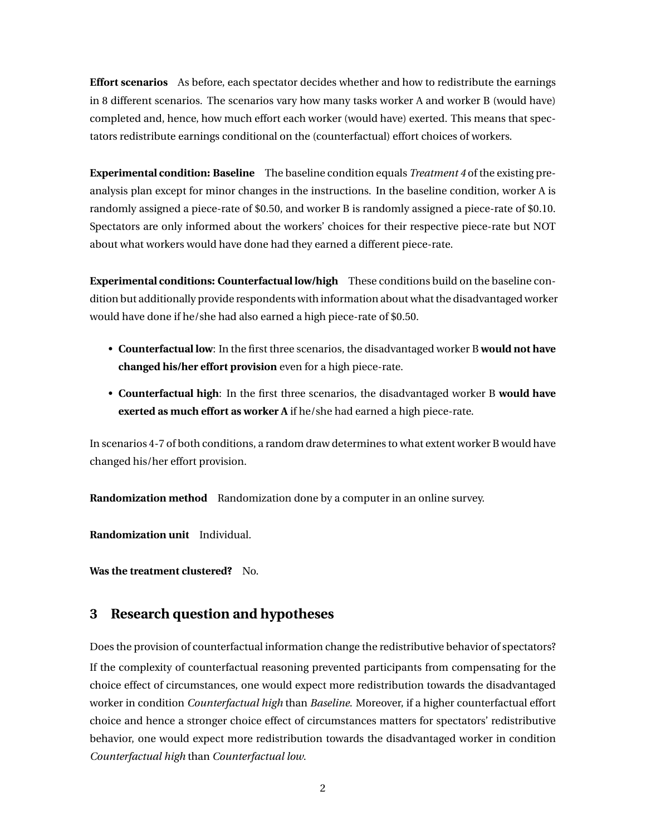**Effort scenarios** As before, each spectator decides whether and how to redistribute the earnings in 8 different scenarios. The scenarios vary how many tasks worker A and worker B (would have) completed and, hence, how much effort each worker (would have) exerted. This means that spectators redistribute earnings conditional on the (counterfactual) effort choices of workers.

**Experimental condition: Baseline** The baseline condition equals *Treatment 4* of the existing preanalysis plan except for minor changes in the instructions. In the baseline condition, worker A is randomly assigned a piece-rate of \$0.50, and worker B is randomly assigned a piece-rate of \$0.10. Spectators are only informed about the workers' choices for their respective piece-rate but NOT about what workers would have done had they earned a different piece-rate.

**Experimental conditions: Counterfactual low/high** These conditions build on the baseline condition but additionally provide respondents with information about what the disadvantaged worker would have done if he/she had also earned a high piece-rate of \$0.50.

- **Counterfactual low**: In the first three scenarios, the disadvantaged worker B **would not have changed his/her effort provision** even for a high piece-rate.
- **Counterfactual high**: In the first three scenarios, the disadvantaged worker B **would have exerted as much effort as worker A** if he/she had earned a high piece-rate.

In scenarios 4-7 of both conditions, a random draw determines to what extent worker B would have changed his/her effort provision.

**Randomization method** Randomization done by a computer in an online survey.

**Randomization unit** Individual.

**Was the treatment clustered?** No.

## **3 Research question and hypotheses**

Does the provision of counterfactual information change the redistributive behavior of spectators? If the complexity of counterfactual reasoning prevented participants from compensating for the choice effect of circumstances, one would expect more redistribution towards the disadvantaged worker in condition *Counterfactual high* than *Baseline*. Moreover, if a higher counterfactual effort choice and hence a stronger choice effect of circumstances matters for spectators' redistributive behavior, one would expect more redistribution towards the disadvantaged worker in condition *Counterfactual high* than *Counterfactual low*.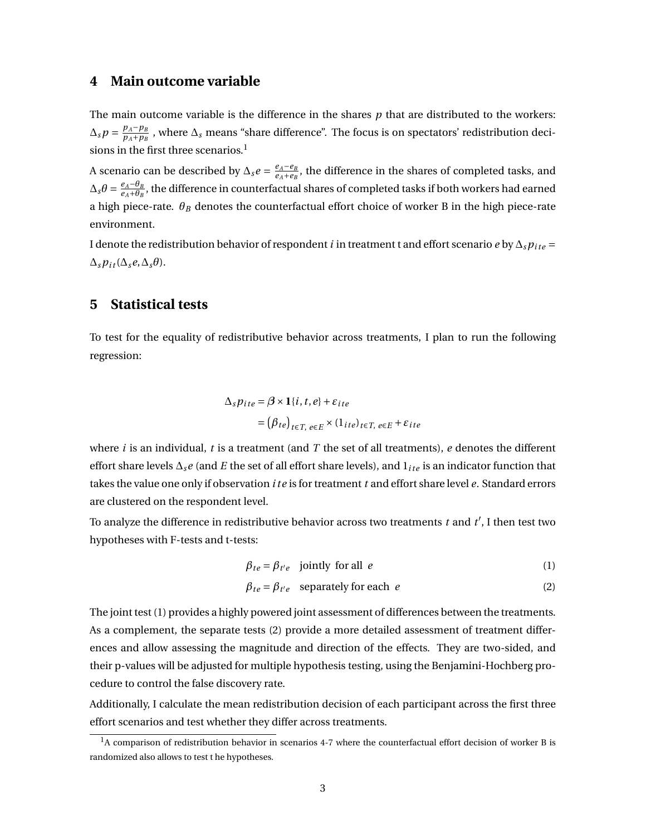#### **4 Main outcome variable**

The main outcome variable is the difference in the shares *p* that are distributed to the workers:  $\Delta_{s} p = \frac{p_{A} - p_{B}}{p_{A} + p_{B}}$  $\frac{p_A-p_B}{p_A+p_B}$  , where  $\Delta_s$  means "share difference". The focus is on spectators' redistribution decisions in the first three scenarios.<sup>1</sup>

A scenario can be described by  $\Delta_s e = \frac{e_A - e_B}{e_A + e_B}$  $\frac{e_A - e_B}{e_A + e_B}$ , the difference in the shares of completed tasks, and  $\Delta_{s} \theta = \frac{e_{A} - \theta_{B}}{e_{A} + \theta_{B}}$  $\frac{e_A - e_B}{e_A + \theta_B}$ , the difference in counterfactual shares of completed tasks if both workers had earned a high piece-rate. *θ<sup>B</sup>* denotes the counterfactual effort choice of worker B in the high piece-rate environment.

I denote the redistribution behavior of respondent *i* in treatment t and effort scenario *e* by  $\Delta s p_{ite}$  =  $\Delta_s p_{it}(\Delta_s e, \Delta_s \theta).$ 

#### **5 Statistical tests**

To test for the equality of redistributive behavior across treatments, I plan to run the following regression:

$$
\Delta_{s} p_{ite} = \beta \times 1 \{i, t, e\} + \varepsilon_{ite}
$$
  
=  $(\beta_{te})_{t \in T, e \in E} \times (1_{ite})_{t \in T, e \in E} + \varepsilon_{ite}$ 

where *i* is an individual, *t* is a treatment (and *T* the set of all treatments), *e* denotes the different effort share levels ∆*se* (and *E* the set of all effort share levels), and 1*i te* is an indicator function that takes the value one only if observation *i te* is for treatment *t* and effort share level *e*. Standard errors are clustered on the respondent level.

To analyze the difference in redistributive behavior across two treatments  $t$  and  $t'$ , I then test two hypotheses with F-tests and t-tests:

$$
\beta_{te} = \beta_{t'e} \quad \text{jointly for all } e \tag{1}
$$

$$
\beta_{te} = \beta_{t'e} \quad \text{separately for each } e \tag{2}
$$

The joint test (1) provides a highly powered joint assessment of differences between the treatments. As a complement, the separate tests (2) provide a more detailed assessment of treatment differences and allow assessing the magnitude and direction of the effects. They are two-sided, and their p-values will be adjusted for multiple hypothesis testing, using the Benjamini-Hochberg procedure to control the false discovery rate.

Additionally, I calculate the mean redistribution decision of each participant across the first three effort scenarios and test whether they differ across treatments.

<sup>&</sup>lt;sup>1</sup>A comparison of redistribution behavior in scenarios 4-7 where the counterfactual effort decision of worker B is randomized also allows to test t he hypotheses.